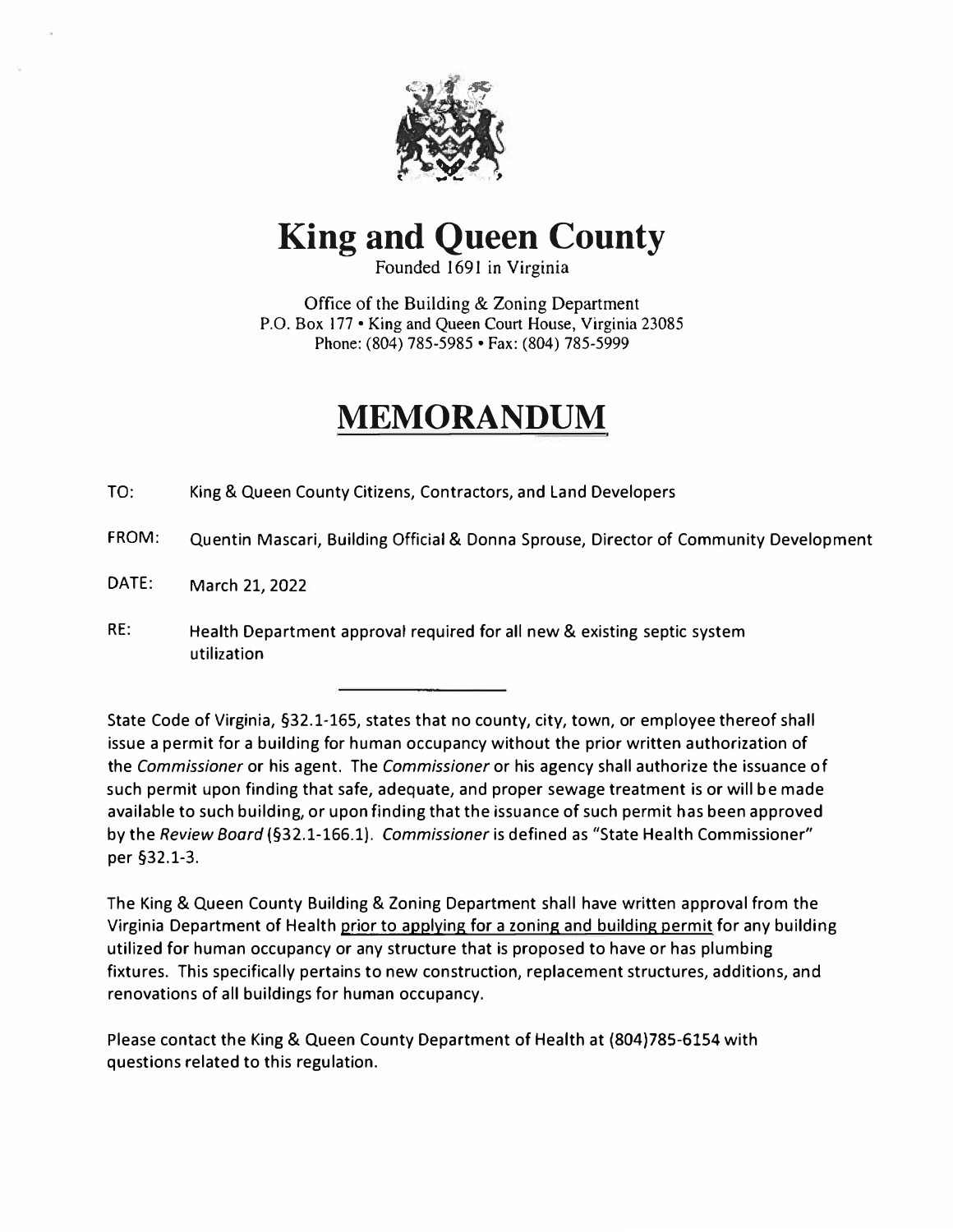

# **King and Queen County**

Founded 1691 in Virginia

Office of the Building & Zoning Department P.O. Box 177 • King and Queen Court House, Virginia 23085 Phone: (804) 785-5985 • Fax: (804) 785-5999

## **MEMORANDUM**

TO: King & Queen County Citizens, Contractors, and Land Developers

- FROM: Quentin Mascari, Building Official & Donna Sprouse, Director of Community Development
- DATE: March 21, 2022
- RE: Health Department approval required for all new & existing septic system utilization

State Code of Virginia, §32.1-165, states that no county, city, town, or employee thereof shall issue a permit for a building for human occupancy without the prior written authorization of the *Commissioner* or his agent. The *Commissioner* or his agency shall authorize the issuance of such permit upon finding that safe, adequate, and proper sewage treatment is or will be made available to such building, or upon finding that the issuance of such permit has been approved by the *Review Board* (§32.1-166.1). *Commissioner* is defined as "State Health Commissioner" per §32.1-3.

The King & Queen County Building & Zoning Department shall have written approval from the Virginia Department of Health prior to applying for a zoning and building permit for any building utilized for human occupancy or any structure that is proposed to have or has plumbing fixtures. This specifically pertains to new construction, replacement structures, additions, and renovations of all buildings for human occupancy.

Please contact the King & Queen County Department of Health at (804)785-6154 with questions related to this regulation.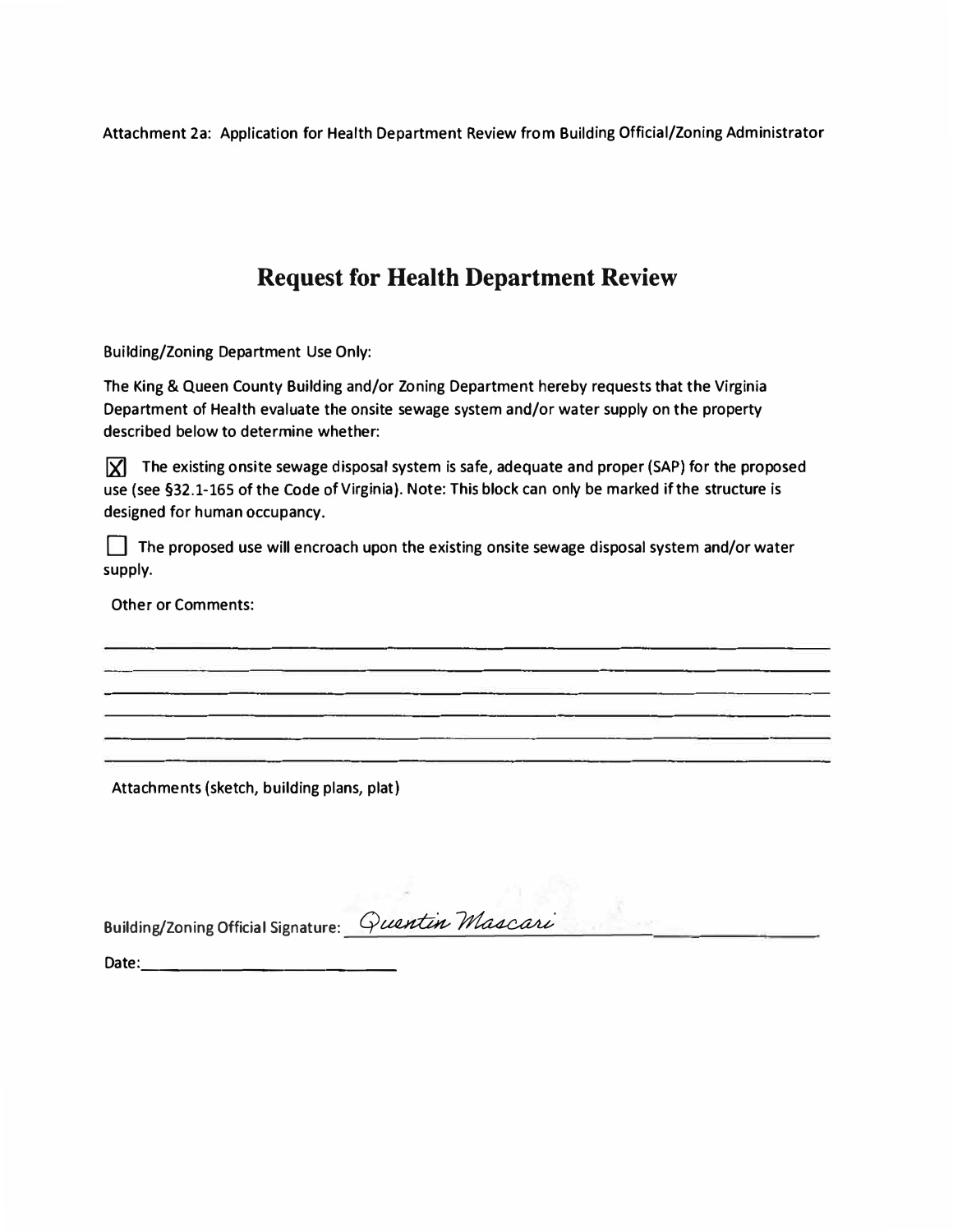**Attachment 2a: Application for Health Department Review from Building Official/Zoning Administrator** 

## **Request for Health Department Review**

**Building/Zoning Department Use Only:** 

**The King & Queen County Building and/or Zoning Department hereby requests that the Virginia Department of Health evaluate the onsite sewage system and/or water supply on the property described below to determine whether:** 

**If The existing onsite sewage disposal system is safe, adequate and proper (SAP) for the proposed use (see §32.1-165 of the Code of Virginia) . Note: This block can only be marked if the structure is designed for human occupancy.** 

D **The proposed use will encroach upon the existing onsite sewage disposal system and/or water supply.** 

**Other or Comments:** 

**Attachments (sketch, building plans, plat)**

**Building/Zonins Official Sisnature:** 

**Date:. \_\_\_\_\_\_\_\_\_\_\_ \_**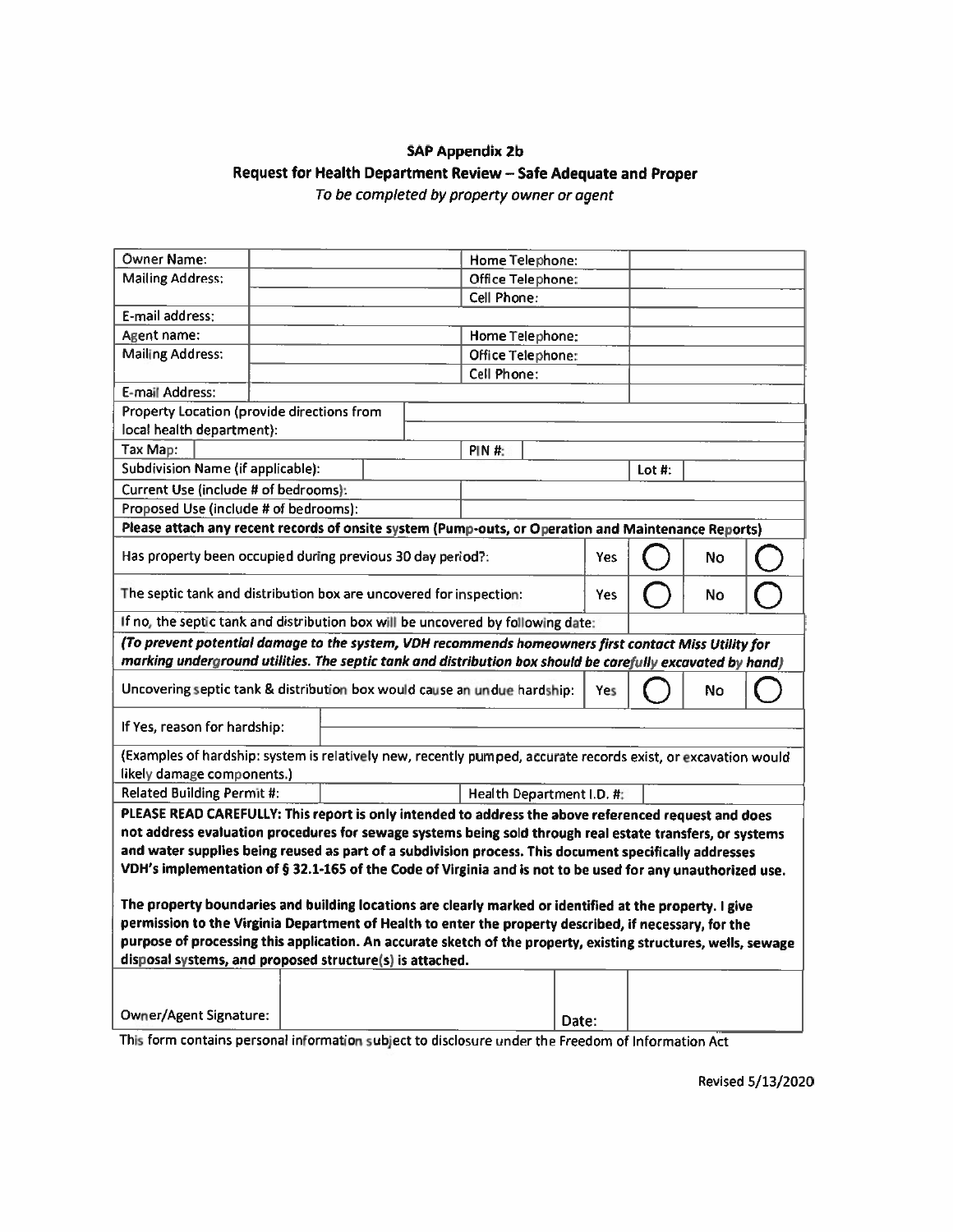### **SAP Appendix 2b** Request for Health Department Review - Safe Adequate and Proper To be completed by property owner or agent

| Owner Name:                                                                                                    |  |  |                          |                   | Home Telephone:   |       |        |    |  |
|----------------------------------------------------------------------------------------------------------------|--|--|--------------------------|-------------------|-------------------|-------|--------|----|--|
| <b>Mailing Address:</b>                                                                                        |  |  |                          |                   | Office Telephone: |       |        |    |  |
|                                                                                                                |  |  |                          | Cell Phone:       |                   |       |        |    |  |
| E-mail address:                                                                                                |  |  |                          |                   |                   |       |        |    |  |
| Agent name:                                                                                                    |  |  |                          |                   | Home Telephone:   |       |        |    |  |
| <b>Mailing Address:</b>                                                                                        |  |  |                          | Office Telephone: |                   |       |        |    |  |
|                                                                                                                |  |  |                          | Cell Phone:       |                   |       |        |    |  |
| E-mail Address:                                                                                                |  |  |                          |                   |                   |       |        |    |  |
| Property Location (provide directions from                                                                     |  |  |                          |                   |                   |       |        |    |  |
| local health department):                                                                                      |  |  |                          |                   |                   |       |        |    |  |
| Tax Map:<br><b>PIN #:</b>                                                                                      |  |  |                          |                   |                   |       |        |    |  |
| Subdivision Name (if applicable):                                                                              |  |  |                          |                   |                   |       | Lot #: |    |  |
| Current Use (include # of bedrooms):                                                                           |  |  |                          |                   |                   |       |        |    |  |
| Proposed Use (include # of bedrooms):                                                                          |  |  |                          |                   |                   |       |        |    |  |
| Please attach any recent records of onsite system (Pump-outs, or Operation and Maintenance Reports)            |  |  |                          |                   |                   |       |        |    |  |
| Has property been occupied during previous 30 day period?:                                                     |  |  |                          |                   | <b>Yes</b>        |       | No     |    |  |
| The septic tank and distribution box are uncovered for inspection:                                             |  |  |                          |                   | <b>Yes</b>        |       | No     |    |  |
| If no, the septic tank and distribution box will be uncovered by following date:                               |  |  |                          |                   |                   |       |        |    |  |
| (To prevent potential damage to the system, VDH recommends homeowners first contact Miss Utility for           |  |  |                          |                   |                   |       |        |    |  |
| marking underground utilities. The septic tank and distribution box should be carefully excavated by hand)     |  |  |                          |                   |                   |       |        |    |  |
| Uncovering septic tank & distribution box would cause an undue hardship:                                       |  |  |                          |                   |                   | Yes   |        | No |  |
| If Yes, reason for hardship:                                                                                   |  |  |                          |                   |                   |       |        |    |  |
| (Examples of hardship: system is relatively new, recently pumped, accurate records exist, or excavation would  |  |  |                          |                   |                   |       |        |    |  |
| likely damage components.)                                                                                     |  |  |                          |                   |                   |       |        |    |  |
| <b>Related Building Permit #:</b>                                                                              |  |  | Health Department I.D. # |                   |                   |       |        |    |  |
| PLEASE READ CAREFULLY: This report is only intended to address the above referenced request and does           |  |  |                          |                   |                   |       |        |    |  |
| not address evaluation procedures for sewage systems being sold through real estate transfers, or systems      |  |  |                          |                   |                   |       |        |    |  |
| and water supplies being reused as part of a subdivision process. This document specifically addresses         |  |  |                          |                   |                   |       |        |    |  |
| VDH's implementation of § 32.1-165 of the Code of Virginia and is not to be used for any unauthorized use.     |  |  |                          |                   |                   |       |        |    |  |
|                                                                                                                |  |  |                          |                   |                   |       |        |    |  |
| The property boundaries and building locations are clearly marked or identified at the property. I give        |  |  |                          |                   |                   |       |        |    |  |
| permission to the Virginia Department of Health to enter the property described, if necessary, for the         |  |  |                          |                   |                   |       |        |    |  |
| purpose of processing this application. An accurate sketch of the property, existing structures, wells, sewage |  |  |                          |                   |                   |       |        |    |  |
| disposal systems, and proposed structure(s) is attached.                                                       |  |  |                          |                   |                   |       |        |    |  |
|                                                                                                                |  |  |                          |                   |                   |       |        |    |  |
|                                                                                                                |  |  |                          |                   |                   |       |        |    |  |
| <b>Owner/Agent Signature:</b>                                                                                  |  |  |                          |                   |                   | Date: |        |    |  |

This form contains personal information subject to disclosure under the Freedom of Information Act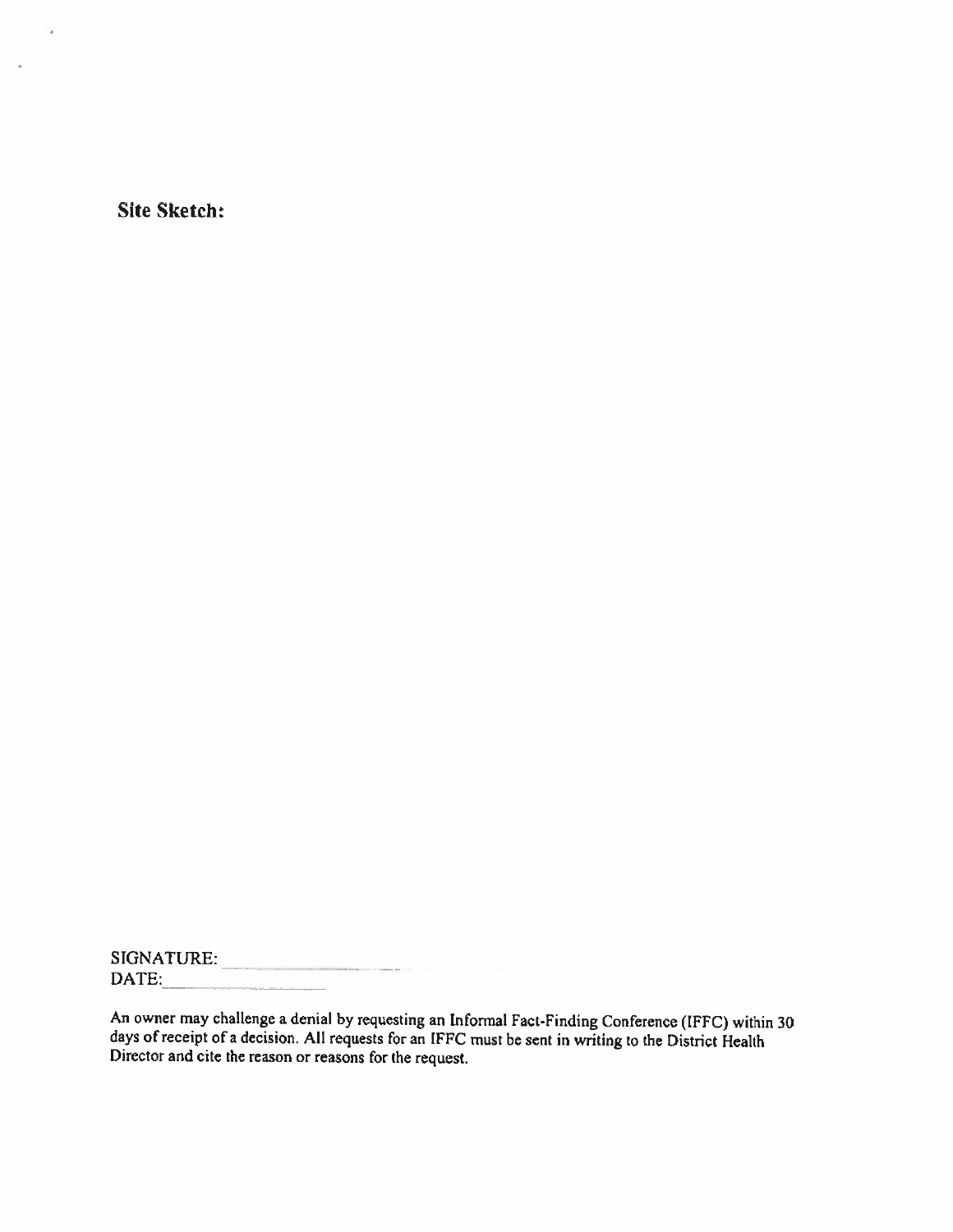Site Sketch:

 $\mathcal{L}_{\mathbf{z}}$ 

 $\hat{\mathbf{r}}$ 

SIGNATURE: DATE:

An owner may challenge a denial by requesting an Informal Fact-Finding Conference (IFFC) within 30 days of receipt of a decision. All requests for an IFFC must be sent in writing to the District Health Director and cite th